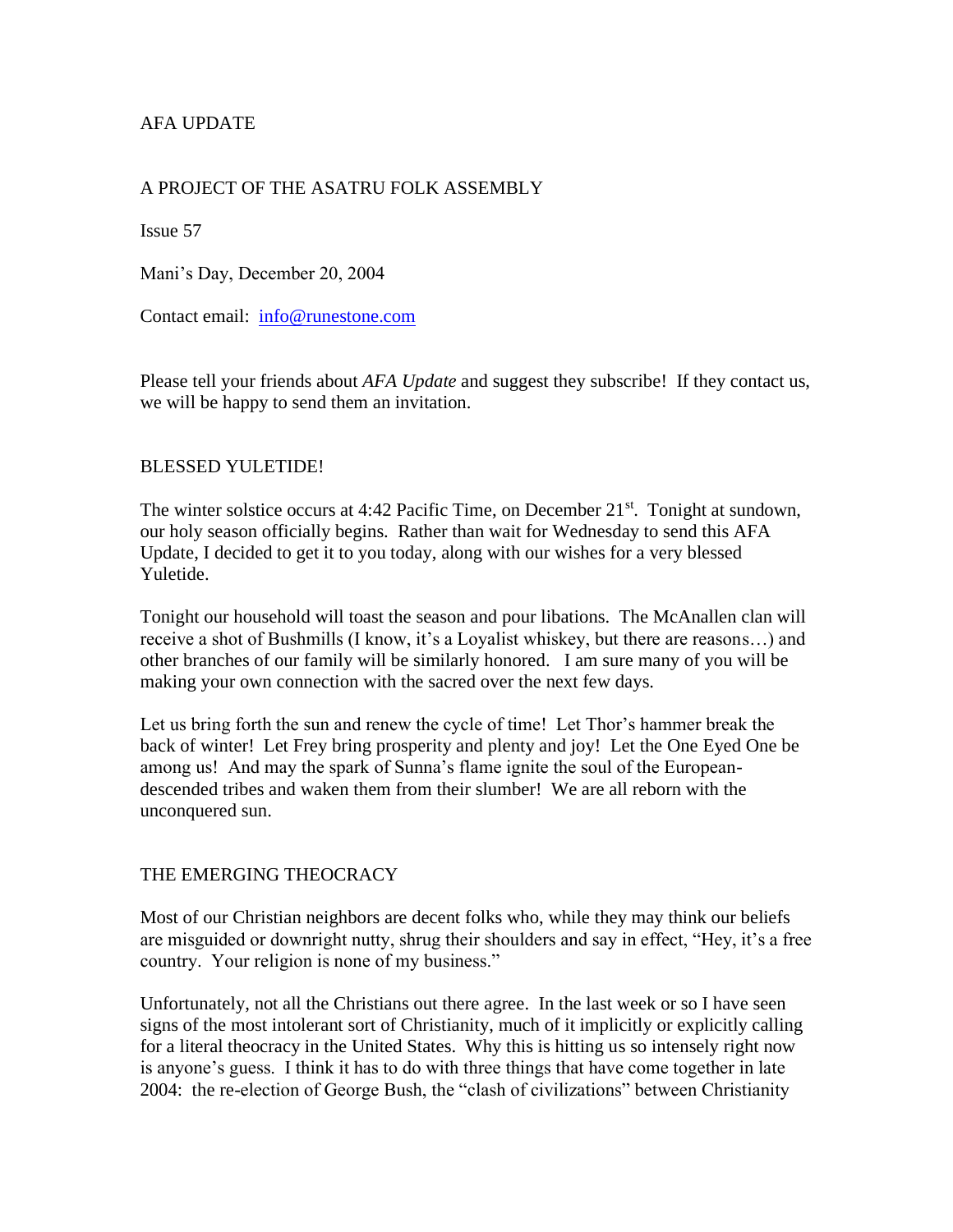# AFA UPDATE

## A PROJECT OF THE ASATRU FOLK ASSEMBLY

Issue 57

Mani's Day, December 20, 2004

Contact email: [info@runestone.com](mailto:info@runestone.com)

Please tell your friends about *AFA Update* and suggest they subscribe! If they contact us, we will be happy to send them an invitation.

### BLESSED YULETIDE!

The winter solstice occurs at  $4:42$  Pacific Time, on December  $21^{st}$ . Tonight at sundown, our holy season officially begins. Rather than wait for Wednesday to send this AFA Update, I decided to get it to you today, along with our wishes for a very blessed Yuletide.

Tonight our household will toast the season and pour libations. The McAnallen clan will receive a shot of Bushmills (I know, it's a Loyalist whiskey, but there are reasons…) and other branches of our family will be similarly honored. I am sure many of you will be making your own connection with the sacred over the next few days.

Let us bring forth the sun and renew the cycle of time! Let Thor's hammer break the back of winter! Let Frey bring prosperity and plenty and joy! Let the One Eyed One be among us! And may the spark of Sunna's flame ignite the soul of the Europeandescended tribes and waken them from their slumber! We are all reborn with the unconquered sun.

### THE EMERGING THEOCRACY

Most of our Christian neighbors are decent folks who, while they may think our beliefs are misguided or downright nutty, shrug their shoulders and say in effect, "Hey, it's a free country. Your religion is none of my business."

Unfortunately, not all the Christians out there agree. In the last week or so I have seen signs of the most intolerant sort of Christianity, much of it implicitly or explicitly calling for a literal theocracy in the United States. Why this is hitting us so intensely right now is anyone's guess. I think it has to do with three things that have come together in late 2004: the re-election of George Bush, the "clash of civilizations" between Christianity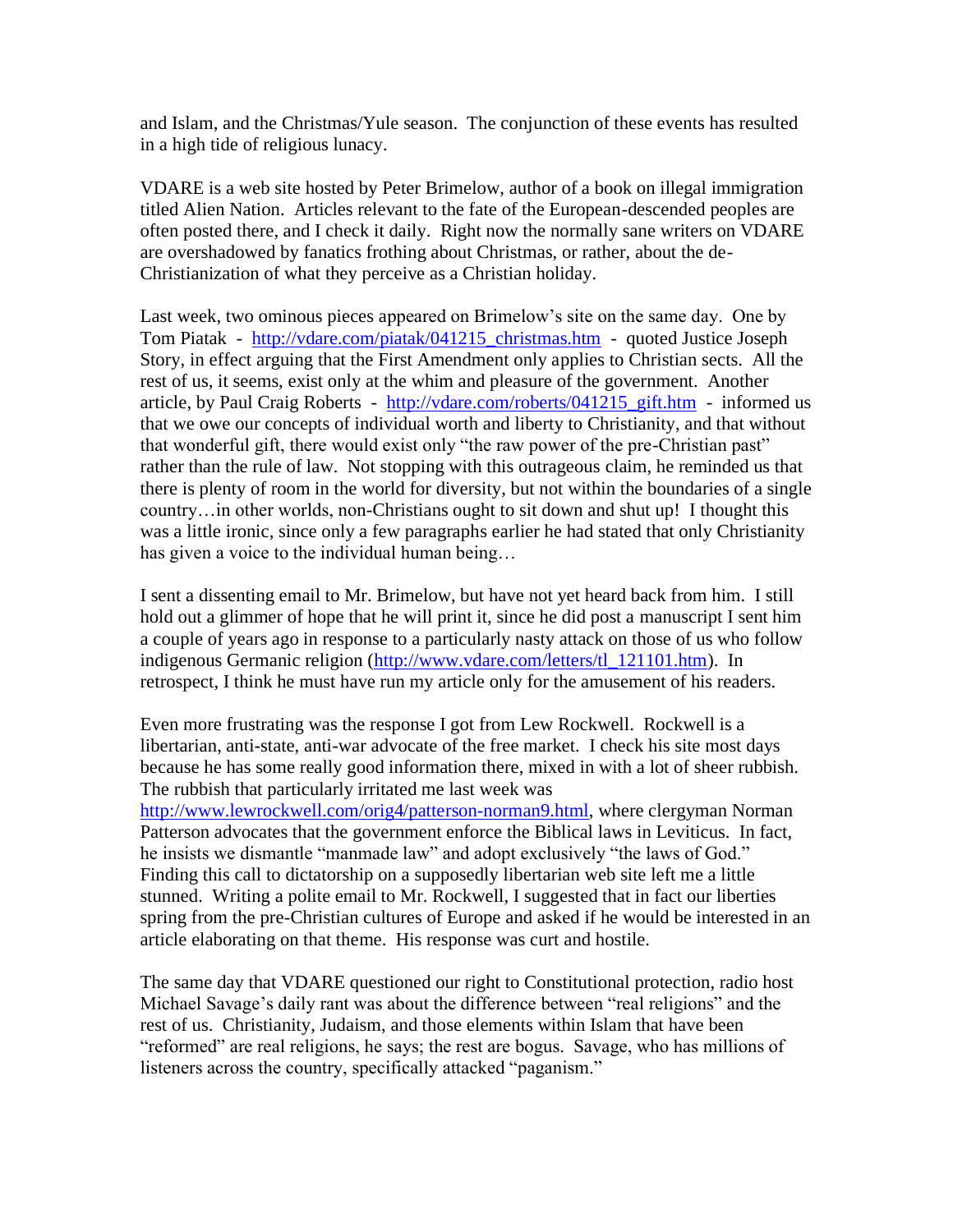and Islam, and the Christmas/Yule season. The conjunction of these events has resulted in a high tide of religious lunacy.

VDARE is a web site hosted by Peter Brimelow, author of a book on illegal immigration titled Alien Nation. Articles relevant to the fate of the European-descended peoples are often posted there, and I check it daily. Right now the normally sane writers on VDARE are overshadowed by fanatics frothing about Christmas, or rather, about the de-Christianization of what they perceive as a Christian holiday.

Last week, two ominous pieces appeared on Brimelow's site on the same day. One by Tom Piatak - [http://vdare.com/piatak/041215\\_christmas.htm](http://vdare.com/piatak/041215_christmas.htm) - quoted Justice Joseph Story, in effect arguing that the First Amendment only applies to Christian sects. All the rest of us, it seems, exist only at the whim and pleasure of the government. Another article, by Paul Craig Roberts - [http://vdare.com/roberts/041215\\_gift.htm](http://vdare.com/roberts/041215_gift.htm) - informed us that we owe our concepts of individual worth and liberty to Christianity, and that without that wonderful gift, there would exist only "the raw power of the pre-Christian past" rather than the rule of law. Not stopping with this outrageous claim, he reminded us that there is plenty of room in the world for diversity, but not within the boundaries of a single country…in other worlds, non-Christians ought to sit down and shut up! I thought this was a little ironic, since only a few paragraphs earlier he had stated that only Christianity has given a voice to the individual human being…

I sent a dissenting email to Mr. Brimelow, but have not yet heard back from him. I still hold out a glimmer of hope that he will print it, since he did post a manuscript I sent him a couple of years ago in response to a particularly nasty attack on those of us who follow indigenous Germanic religion [\(http://www.vdare.com/letters/tl\\_121101.htm\)](http://www.vdare.com/letters/tl_121101.htm). In retrospect, I think he must have run my article only for the amusement of his readers.

Even more frustrating was the response I got from Lew Rockwell. Rockwell is a libertarian, anti-state, anti-war advocate of the free market. I check his site most days because he has some really good information there, mixed in with a lot of sheer rubbish. The rubbish that particularly irritated me last week was

[http://www.lewrockwell.com/orig4/patterson-norman9.html,](http://www.lewrockwell.com/orig4/patterson-norman9.html) where clergyman Norman Patterson advocates that the government enforce the Biblical laws in Leviticus. In fact, he insists we dismantle "manmade law" and adopt exclusively "the laws of God." Finding this call to dictatorship on a supposedly libertarian web site left me a little stunned. Writing a polite email to Mr. Rockwell, I suggested that in fact our liberties spring from the pre-Christian cultures of Europe and asked if he would be interested in an article elaborating on that theme. His response was curt and hostile.

The same day that VDARE questioned our right to Constitutional protection, radio host Michael Savage's daily rant was about the difference between "real religions" and the rest of us. Christianity, Judaism, and those elements within Islam that have been "reformed" are real religions, he says; the rest are bogus. Savage, who has millions of listeners across the country, specifically attacked "paganism."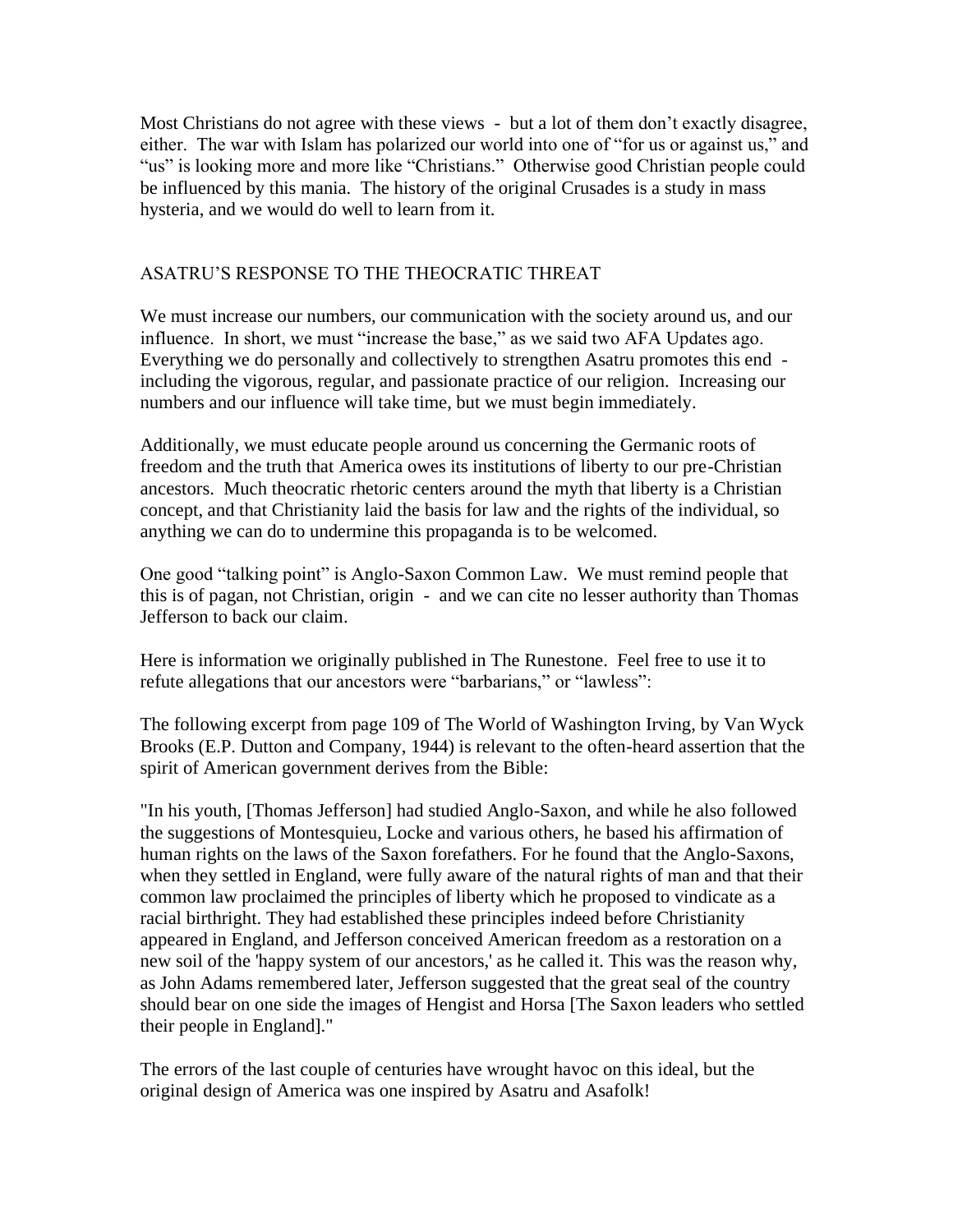Most Christians do not agree with these views - but a lot of them don't exactly disagree, either. The war with Islam has polarized our world into one of "for us or against us," and "us" is looking more and more like "Christians." Otherwise good Christian people could be influenced by this mania. The history of the original Crusades is a study in mass hysteria, and we would do well to learn from it.

## ASATRU'S RESPONSE TO THE THEOCRATIC THREAT

We must increase our numbers, our communication with the society around us, and our influence. In short, we must "increase the base," as we said two AFA Updates ago. Everything we do personally and collectively to strengthen Asatru promotes this end including the vigorous, regular, and passionate practice of our religion. Increasing our numbers and our influence will take time, but we must begin immediately.

Additionally, we must educate people around us concerning the Germanic roots of freedom and the truth that America owes its institutions of liberty to our pre-Christian ancestors. Much theocratic rhetoric centers around the myth that liberty is a Christian concept, and that Christianity laid the basis for law and the rights of the individual, so anything we can do to undermine this propaganda is to be welcomed.

One good "talking point" is Anglo-Saxon Common Law. We must remind people that this is of pagan, not Christian, origin - and we can cite no lesser authority than Thomas Jefferson to back our claim.

Here is information we originally published in The Runestone. Feel free to use it to refute allegations that our ancestors were "barbarians," or "lawless":

The following excerpt from page 109 of The World of Washington Irving, by Van Wyck Brooks (E.P. Dutton and Company, 1944) is relevant to the often-heard assertion that the spirit of American government derives from the Bible:

"In his youth, [Thomas Jefferson] had studied Anglo-Saxon, and while he also followed the suggestions of Montesquieu, Locke and various others, he based his affirmation of human rights on the laws of the Saxon forefathers. For he found that the Anglo-Saxons, when they settled in England, were fully aware of the natural rights of man and that their common law proclaimed the principles of liberty which he proposed to vindicate as a racial birthright. They had established these principles indeed before Christianity appeared in England, and Jefferson conceived American freedom as a restoration on a new soil of the 'happy system of our ancestors,' as he called it. This was the reason why, as John Adams remembered later, Jefferson suggested that the great seal of the country should bear on one side the images of Hengist and Horsa [The Saxon leaders who settled their people in England]."

The errors of the last couple of centuries have wrought havoc on this ideal, but the original design of America was one inspired by Asatru and Asafolk!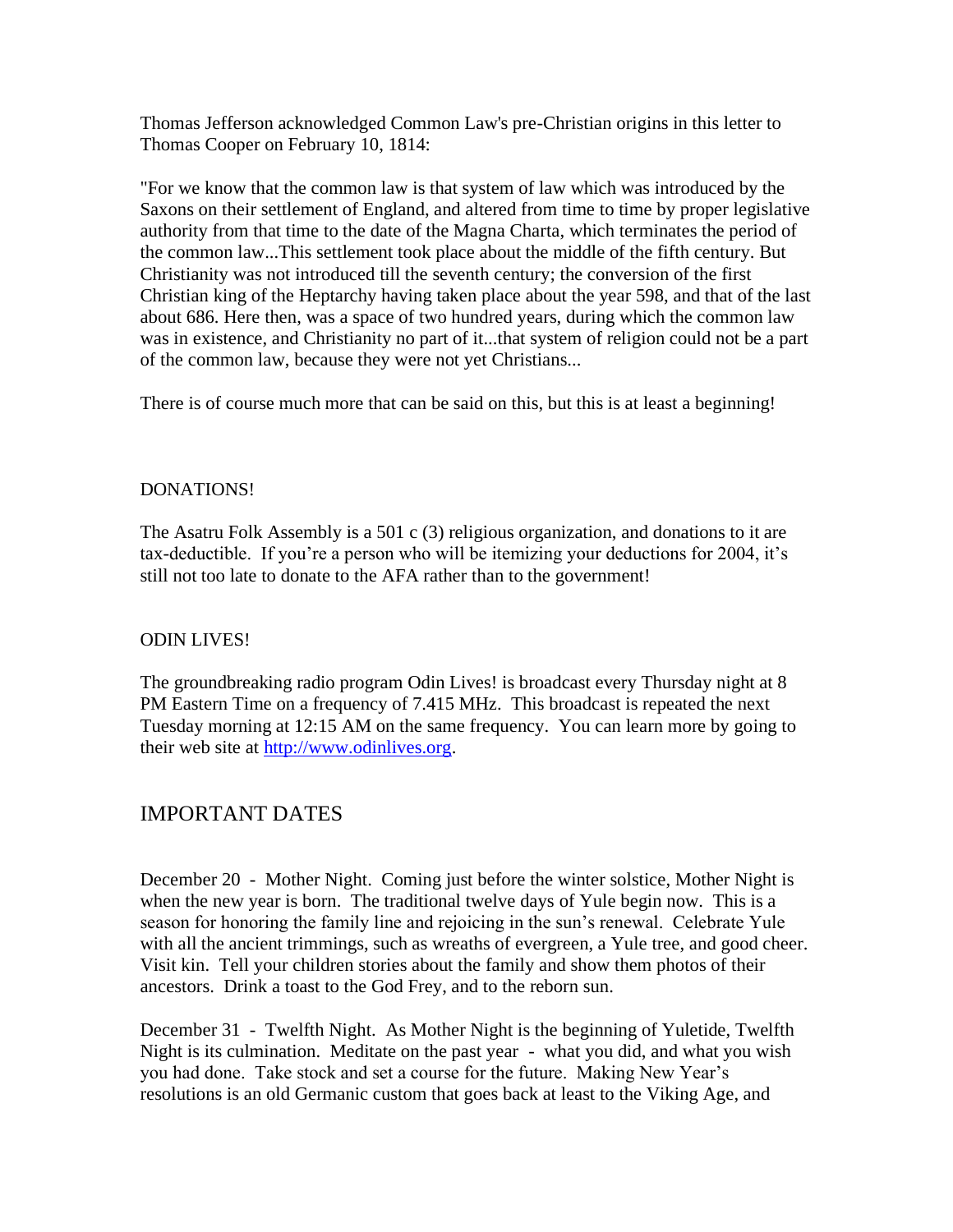Thomas Jefferson acknowledged Common Law's pre-Christian origins in this letter to Thomas Cooper on February 10, 1814:

"For we know that the common law is that system of law which was introduced by the Saxons on their settlement of England, and altered from time to time by proper legislative authority from that time to the date of the Magna Charta, which terminates the period of the common law...This settlement took place about the middle of the fifth century. But Christianity was not introduced till the seventh century; the conversion of the first Christian king of the Heptarchy having taken place about the year 598, and that of the last about 686. Here then, was a space of two hundred years, during which the common law was in existence, and Christianity no part of it...that system of religion could not be a part of the common law, because they were not yet Christians...

There is of course much more that can be said on this, but this is at least a beginning!

## DONATIONS!

The Asatru Folk Assembly is a 501 c (3) religious organization, and donations to it are tax-deductible. If you're a person who will be itemizing your deductions for 2004, it's still not too late to donate to the AFA rather than to the government!

### ODIN LIVES!

The groundbreaking radio program Odin Lives! is broadcast every Thursday night at 8 PM Eastern Time on a frequency of 7.415 MHz. This broadcast is repeated the next Tuesday morning at 12:15 AM on the same frequency. You can learn more by going to their web site at [http://www.odinlives.org.](http://www.odinlives.org/)

# IMPORTANT DATES

December 20 - Mother Night. Coming just before the winter solstice, Mother Night is when the new year is born. The traditional twelve days of Yule begin now. This is a season for honoring the family line and rejoicing in the sun's renewal. Celebrate Yule with all the ancient trimmings, such as wreaths of evergreen, a Yule tree, and good cheer. Visit kin. Tell your children stories about the family and show them photos of their ancestors. Drink a toast to the God Frey, and to the reborn sun.

December 31 - Twelfth Night. As Mother Night is the beginning of Yuletide, Twelfth Night is its culmination. Meditate on the past year - what you did, and what you wish you had done. Take stock and set a course for the future. Making New Year's resolutions is an old Germanic custom that goes back at least to the Viking Age, and